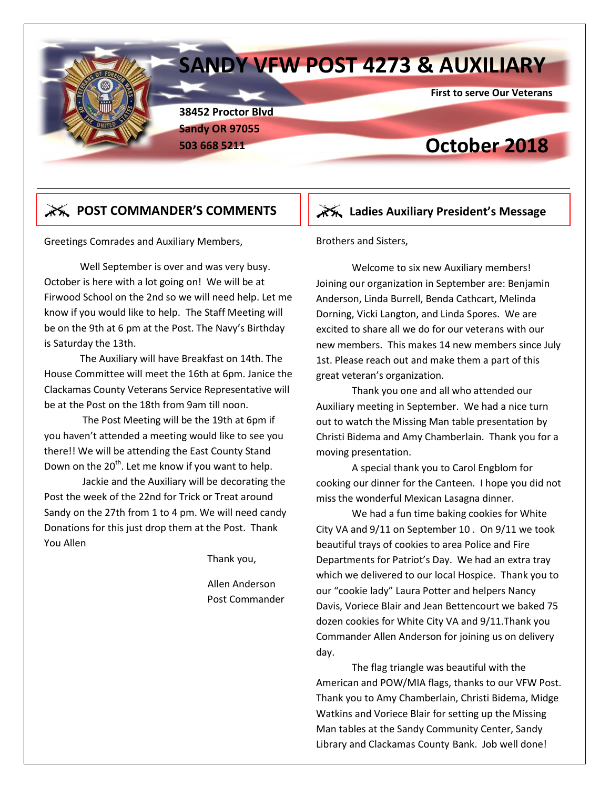## **SANDY VFW POST 4273 & AUXILIARY**

 **First to serve Our Veterans**

**38452 Proctor Blvd Sandy OR 97055**

## **503 668 5211 October 2018**

### **EX POST COMMANDER'S COMMENTS** | **EXALUS** Ladies Auxiliary President's Message

Greetings Comrades and Auxiliary Members,

Well September is over and was very busy. October is here with a lot going on! We will be at Firwood School on the 2nd so we will need help. Let me know if you would like to help. The Staff Meeting will be on the 9th at 6 pm at the Post. The Navy's Birthday is Saturday the 13th.

The Auxiliary will have Breakfast on 14th. The House Committee will meet the 16th at 6pm. Janice the Clackamas County Veterans Service Representative will be at the Post on the 18th from 9am till noon.

The Post Meeting will be the 19th at 6pm if you haven't attended a meeting would like to see you there!! We will be attending the East County Stand Down on the 20<sup>th</sup>. Let me know if you want to help.

Jackie and the Auxiliary will be decorating the Post the week of the 22nd for Trick or Treat around Sandy on the 27th from 1 to 4 pm. We will need candy Donations for this just drop them at the Post. Thank You Allen

Thank you,

 Allen Anderson Post Commander

### Brothers and Sisters,

Welcome to six new Auxiliary members! Joining our organization in September are: Benjamin Anderson, Linda Burrell, Benda Cathcart, Melinda Dorning, Vicki Langton, and Linda Spores. We are excited to share all we do for our veterans with our new members. This makes 14 new members since July 1st. Please reach out and make them a part of this great veteran's organization.

Thank you one and all who attended our Auxiliary meeting in September. We had a nice turn out to watch the Missing Man table presentation by Christi Bidema and Amy Chamberlain. Thank you for a moving presentation.

A special thank you to Carol Engblom for cooking our dinner for the Canteen. I hope you did not miss the wonderful Mexican Lasagna dinner.

We had a fun time baking cookies for White City VA and 9/11 on September 10 . On 9/11 we took beautiful trays of cookies to area Police and Fire Departments for Patriot's Day. We had an extra tray which we delivered to our local Hospice. Thank you to our "cookie lady" Laura Potter and helpers Nancy Davis, Voriece Blair and Jean Bettencourt we baked 75 dozen cookies for White City VA and 9/11.Thank you Commander Allen Anderson for joining us on delivery day.

The flag triangle was beautiful with the American and POW/MIA flags, thanks to our VFW Post. Thank you to Amy Chamberlain, Christi Bidema, Midge Watkins and Voriece Blair for setting up the Missing Man tables at the Sandy Community Center, Sandy Library and Clackamas County Bank. Job well done!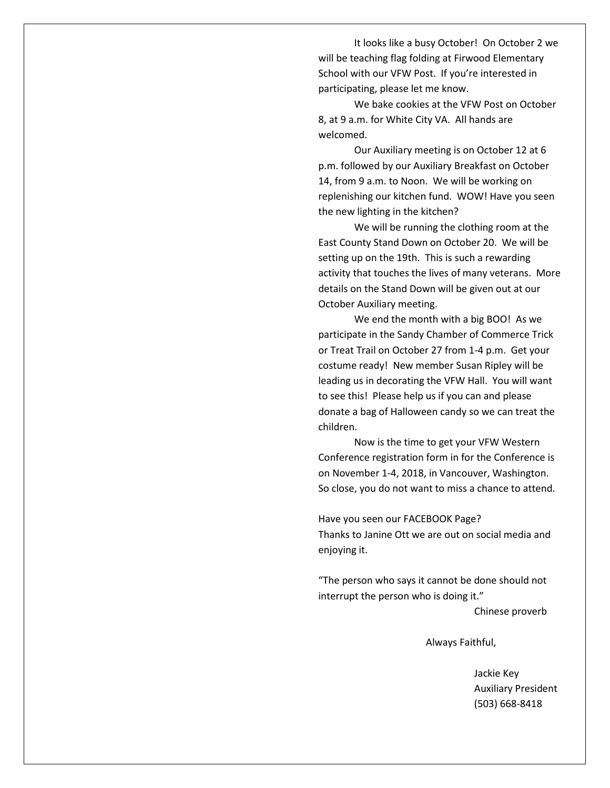It looks like a busy October! On October 2 we will be teaching flag folding at Firwood Elementary School with our VFW Post. If you're interested in participating, please let me know.

We bake cookies at the VFW Post on October 8, at 9 a.m. for White City VA. All hands are welcomed.

Our Auxiliary meeting is on October 12 at 6 p.m. followed by our Auxiliary Breakfast on October 14, from 9 a.m. to Noon. We will be working on replenishing our kitchen fund. WOW! Have you seen the new lighting in the kitchen?

We will be running the clothing room at the East County Stand Down on October 20. We will be setting up on the 19th. This is such a rewarding activity that touches the lives of many veterans. More details on the Stand Down will be given out at our October Auxiliary meeting.

We end the month with a big BOO! As we participate in the Sandy Chamber of Commerce Trick or Treat Trail on October 27 from 1-4 p.m. Get your costume ready! New member Susan Ripley will be leading us in decorating the VFW Hall. You will want to see this! Please help us if you can and please donate a bag of Halloween candy so we can treat the children.

Now is the time to get your VFW Western Conference registration form in for the Conference is on November 1-4, 2018, in Vancouver, Washington. So close, you do not want to miss a chance to attend.

Have you seen our FACEBOOK Page? Thanks to Janine Ott we are out on social media and enjoying it.

"The person who says it cannot be done should not interrupt the person who is doing it."

Chinese proverb

Always Faithful,

 Jackie Key Auxiliary President (503) 668-8418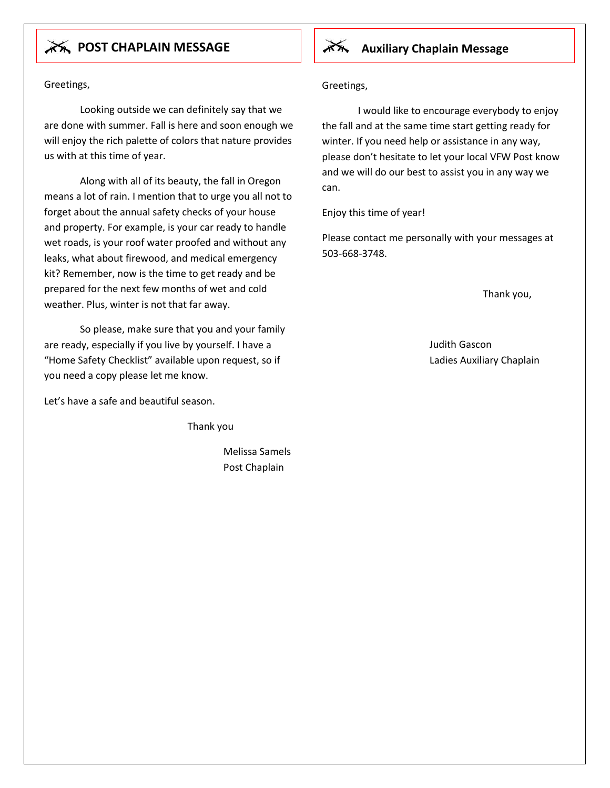## **AVALUARY CHAPLAIN MESSAGE Auxiliary Chaplain Message**

Greetings,

Looking outside we can definitely say that we are done with summer. Fall is here and soon enough we will enjoy the rich palette of colors that nature provides us with at this time of year.

Along with all of its beauty, the fall in Oregon means a lot of rain. I mention that to urge you all not to forget about the annual safety checks of your house and property. For example, is your car ready to handle wet roads, is your roof water proofed and without any leaks, what about firewood, and medical emergency kit? Remember, now is the time to get ready and be prepared for the next few months of wet and cold weather. Plus, winter is not that far away.

So please, make sure that you and your family are ready, especially if you live by yourself. I have a "Home Safety Checklist" available upon request, so if you need a copy please let me know.

Let's have a safe and beautiful season.

Thank you

Melissa Samels Post Chaplain

Greetings,

I would like to encourage everybody to enjoy the fall and at the same time start getting ready for winter. If you need help or assistance in any way, please don't hesitate to let your local VFW Post know and we will do our best to assist you in any way we can.

Enjoy this time of year!

Please contact me personally with your messages at 503-668-3748.

Thank you,

Judith Gascon Ladies Auxiliary Chaplain